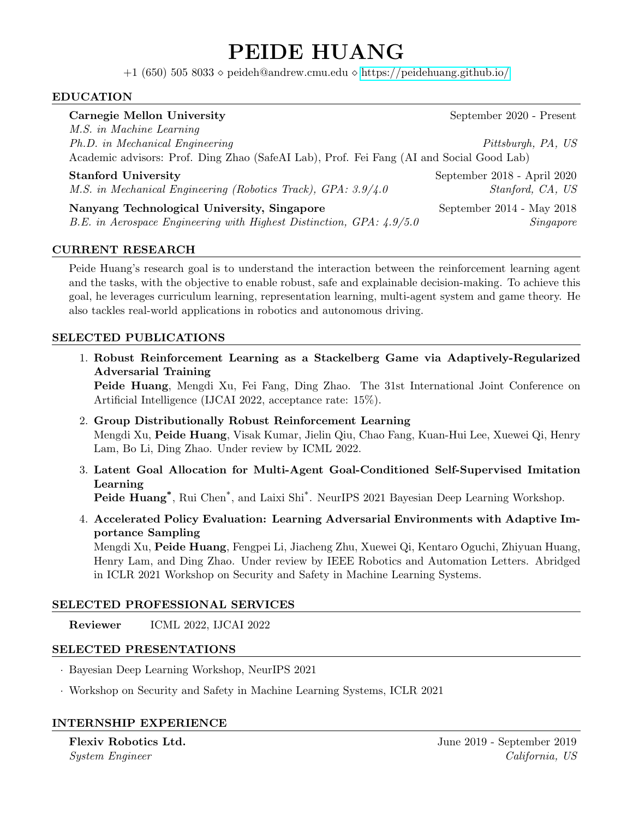# PEIDE HUANG

+1 (650) 505 8033  $\diamond$  peideh@andrew.cmu.edu  $\diamond$  <https://peidehuang.github.io/>

## EDUCATION

| <b>Carnegie Mellon University</b>                                                                                                                       | September 2020 - Present    |
|---------------------------------------------------------------------------------------------------------------------------------------------------------|-----------------------------|
| M.S. in Machine Learning<br>Ph.D. in Mechanical Engineering<br>Academic advisors: Prof. Ding Zhao (SafeAI Lab), Prof. Fei Fang (AI and Social Good Lab) | Pittsburgh, PA, US          |
| <b>Stanford University</b>                                                                                                                              | September 2018 - April 2020 |
| M.S. in Mechanical Engineering (Robotics Track), GPA: 3.9/4.0                                                                                           | Stanford, CA, US            |
| Nanyang Technological University, Singapore                                                                                                             | September 2014 - May 2018   |
| B.E. in Aerospace Engineering with Highest Distinction, GPA: 4.9/5.0                                                                                    | Singapore                   |

## CURRENT RESEARCH

Peide Huang's research goal is to understand the interaction between the reinforcement learning agent and the tasks, with the objective to enable robust, safe and explainable decision-making. To achieve this goal, he leverages curriculum learning, representation learning, multi-agent system and game theory. He also tackles real-world applications in robotics and autonomous driving.

#### SELECTED PUBLICATIONS

1. Robust Reinforcement Learning as a Stackelberg Game via Adaptively-Regularized Adversarial Training

Peide Huang, Mengdi Xu, Fei Fang, Ding Zhao. The 31st International Joint Conference on Artificial Intelligence (IJCAI 2022, acceptance rate: 15%).

- 2. Group Distributionally Robust Reinforcement Learning Mengdi Xu, Peide Huang, Visak Kumar, Jielin Qiu, Chao Fang, Kuan-Hui Lee, Xuewei Qi, Henry Lam, Bo Li, Ding Zhao. Under review by ICML 2022.
- 3. Latent Goal Allocation for Multi-Agent Goal-Conditioned Self-Supervised Imitation Learning

Peide Huang<sup>\*</sup>, Rui Chen<sup>\*</sup>, and Laixi Shi<sup>\*</sup>. NeurIPS 2021 Bayesian Deep Learning Workshop.

4. Accelerated Policy Evaluation: Learning Adversarial Environments with Adaptive Importance Sampling

Mengdi Xu, Peide Huang, Fengpei Li, Jiacheng Zhu, Xuewei Qi, Kentaro Oguchi, Zhiyuan Huang, Henry Lam, and Ding Zhao. Under review by IEEE Robotics and Automation Letters. Abridged in ICLR 2021 Workshop on Security and Safety in Machine Learning Systems.

#### SELECTED PROFESSIONAL SERVICES

Reviewer ICML 2022, IJCAI 2022

#### SELECTED PRESENTATIONS

- · Bayesian Deep Learning Workshop, NeurIPS 2021
- · Workshop on Security and Safety in Machine Learning Systems, ICLR 2021

#### INTERNSHIP EXPERIENCE